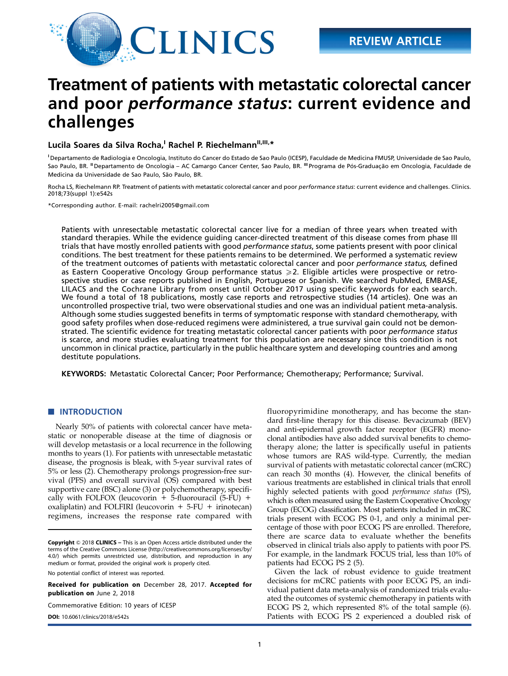

# Treatment of patients with metastatic colorectal cancer and poor performance status: current evidence and challenges

## Lucila Soares da Silva Rocha,<sup>I</sup> Rachel P. Riechelmann<sup>II,III,\*</sup>

I Departamento de Radiologia e Oncologia, Instituto do Cancer do Estado de Sao Paulo (ICESP), Faculdade de Medicina FMUSP, Universidade de Sao Paulo, Sao Paulo, BR. "Departamento de Oncologia – AC Camargo Cancer Center, Sao Paulo, BR. "Programa de Pós-Graduação em Oncologia, Faculdade de Medicina da Universidade de Sao Paulo, São Paulo, BR.

Rocha LS, Riechelmann RP. Treatment of patients with metastatic colorectal cancer and poor performance status: current evidence and challenges. Clinics. 2018;73(suppl 1):e542s

\*Corresponding author. E-mail: [rachelri2005@gmail.com](mailto:rachelri2005@gmail.com)

Patients with unresectable metastatic colorectal cancer live for a median of three years when treated with standard therapies. While the evidence guiding cancer-directed treatment of this disease comes from phase III trials that have mostly enrolled patients with good performance status, some patients present with poor clinical conditions. The best treatment for these patients remains to be determined. We performed a systematic review of the treatment outcomes of patients with metastatic colorectal cancer and poor performance status, defined as Eastern Cooperative Oncology Group performance status  $\geq 2$ . Eligible articles were prospective or retrospective studies or case reports published in English, Portuguese or Spanish. We searched PubMed, EMBASE, LILACS and the Cochrane Library from onset until October 2017 using specific keywords for each search. We found a total of 18 publications, mostly case reports and retrospective studies (14 articles). One was an uncontrolled prospective trial, two were observational studies and one was an individual patient meta-analysis. Although some studies suggested benefits in terms of symptomatic response with standard chemotherapy, with good safety profiles when dose-reduced regimens were administered, a true survival gain could not be demonstrated. The scientific evidence for treating metastatic colorectal cancer patients with poor performance status is scarce, and more studies evaluating treatment for this population are necessary since this condition is not uncommon in clinical practice, particularly in the public healthcare system and developing countries and among destitute populations.

KEYWORDS: Metastatic Colorectal Cancer; Poor Performance; Chemotherapy; Performance; Survival.

### **NUMBER** INTRODUCTION

Nearly 50% of patients with colorectal cancer have metastatic or nonoperable disease at the time of diagnosis or will develop metastasis or a local recurrence in the following months to years (1). For patients with unresectable metastatic disease, the prognosis is bleak, with 5-year survival rates of 5% or less (2). Chemotherapy prolongs progression-free survival (PFS) and overall survival (OS) compared with best supportive care (BSC) alone (3) or polychemotherapy, specifically with FOLFOX (leucovorin  $+$  5-fluorouracil (5-FU) + oxaliplatin) and FOLFIRI (leucovorin  $+ 5$ -FU  $+$  irinotecan) regimens, increases the response rate compared with

Copyright © 2018 CLINICS – This is an Open Access article distributed under the terms of the Creative Commons License (http://creativecommons.org/licenses/by/ 4.0/) which permits unrestricted use, distribution, and reproduction in any medium or format, provided the original work is properly cited.

No potential conflict of interest was reported.

Received for publication on December 28, 2017. Accepted for publication on June 2, 2018

Commemorative Edition: 10 years of ICESP

fluoropyrimidine monotherapy, and has become the standard first-line therapy for this disease. Bevacizumab (BEV) and anti-epidermal growth factor receptor (EGFR) monoclonal antibodies have also added survival benefits to chemotherapy alone; the latter is specifically useful in patients whose tumors are RAS wild-type. Currently, the median survival of patients with metastatic colorectal cancer (mCRC) can reach 30 months (4). However, the clinical benefits of various treatments are established in clinical trials that enroll highly selected patients with good performance status (PS), which is often measured using the Eastern Cooperative Oncology Group (ECOG) classification. Most patients included in mCRC trials present with ECOG PS 0-1, and only a minimal percentage of those with poor ECOG PS are enrolled. Therefore, there are scarce data to evaluate whether the benefits observed in clinical trials also apply to patients with poor PS. For example, in the landmark FOCUS trial, less than 10% of patients had ECOG PS 2 (5).

Given the lack of robust evidence to guide treatment decisions for mCRC patients with poor ECOG PS, an individual patient data meta-analysis of randomized trials evaluated the outcomes of systemic chemotherapy in patients with ECOG PS 2, which represented 8% of the total sample (6). **DOI:** [10.6061/clinics/2018/e542s](http://dx.doi.org/10.6061/clinics/2018/e542s) **Patients with ECOG PS 2 experienced a doubled risk of**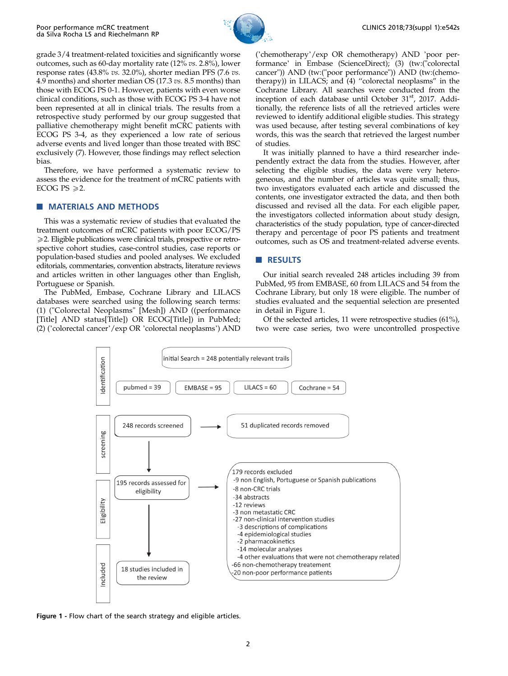

grade 3/4 treatment-related toxicities and significantly worse outcomes, such as 60-day mortality rate (12% vs. 2.8%), lower response rates (43.8% vs. 32.0%), shorter median PFS (7.6 vs. 4.9 months) and shorter median OS (17.3 vs. 8.5 months) than those with ECOG PS 0-1. However, patients with even worse clinical conditions, such as those with ECOG PS 3-4 have not been represented at all in clinical trials. The results from a retrospective study performed by our group suggested that palliative chemotherapy might benefit mCRC patients with ECOG PS 3-4, as they experienced a low rate of serious adverse events and lived longer than those treated with BSC exclusively (7). However, those findings may reflect selection bias.

Therefore, we have performed a systematic review to assess the evidence for the treatment of mCRC patients with ECOG PS  $\ge 2$ .

## **NATERIALS AND METHODS**

This was a systematic review of studies that evaluated the treatment outcomes of mCRC patients with poor ECOG/PS  $\geq$  2. Eligible publications were clinical trials, prospective or retrospective cohort studies, case-control studies, case reports or population-based studies and pooled analyses. We excluded editorials, commentaries, convention abstracts, literature reviews and articles written in other languages other than English, Portuguese or Spanish.

The PubMed, Embase, Cochrane Library and LILACS databases were searched using the following search terms: (1) ("Colorectal Neoplasms" [Mesh]) AND ((performance [Title] AND status[Title]) OR ECOG[Title]) in PubMed; (2) ('colorectal cancer'/exp OR 'colorectal neoplasms') AND

('chemotherapy'/exp OR chemotherapy) AND 'poor performance' in Embase (ScienceDirect); (3) (tw:("colorectal cancer")) AND (tw:("poor performance")) AND (tw:(chemotherapy)) in LILACS; and (4) ''colorectal neoplasms'' in the Cochrane Library. All searches were conducted from the inception of each database until October 31<sup>st</sup>, 2017. Additionally, the reference lists of all the retrieved articles were reviewed to identify additional eligible studies. This strategy was used because, after testing several combinations of key words, this was the search that retrieved the largest number of studies.

It was initially planned to have a third researcher independently extract the data from the studies. However, after selecting the eligible studies, the data were very heterogeneous, and the number of articles was quite small; thus, two investigators evaluated each article and discussed the contents, one investigator extracted the data, and then both discussed and revised all the data. For each eligible paper, the investigators collected information about study design, characteristics of the study population, type of cancer-directed therapy and percentage of poor PS patients and treatment outcomes, such as OS and treatment-related adverse events.

## **RESULTS**

Our initial search revealed 248 articles including 39 from PubMed, 95 from EMBASE, 60 from LILACS and 54 from the Cochrane Library, but only 18 were eligible. The number of studies evaluated and the sequential selection are presented in detail in Figure 1.

Of the selected articles, 11 were retrospective studies (61%), two were case series, two were uncontrolled prospective



Figure 1 - Flow chart of the search strategy and eligible articles.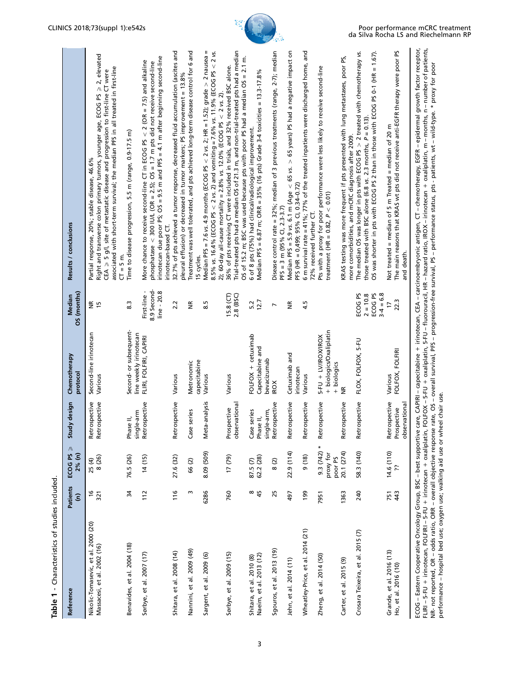| Reference                                                          | <b>Patients</b><br>ŝ | ECOG PS $\geqslant$<br>2% (n)       | design<br>Study                                         | Chemotherapy<br>protocol                                      | OS (months)<br>Median                                                   | Results / conclusions                                                                                                                                                                                                                                                                                                  |
|--------------------------------------------------------------------|----------------------|-------------------------------------|---------------------------------------------------------|---------------------------------------------------------------|-------------------------------------------------------------------------|------------------------------------------------------------------------------------------------------------------------------------------------------------------------------------------------------------------------------------------------------------------------------------------------------------------------|
| Nikolic-Tomasevic, et al. 2000 (20)<br>Massacesi, et al. 2002 (16) | $\frac{9}{2}$<br>321 | 25 (4)<br>8 (26)                    | Retrospective<br>Retrospective                          | Second-line irinotecan<br>Various                             | មិ ដ                                                                    | Right and transverse colon primary tumors, younger age, ECOG PS ≥ 2, elevated<br>associated with short-term survival; the median PFS in all treated in first-line<br>CEA $\geq$ 5 g/l, site of metastatic disease and progression to first-line CT were<br>Partial response, 20%; stable disease, 46.6%<br>$CT = 5$ m. |
| Benavides, et al. 2004 (18)                                        | 34                   | 76.5 (26)                           | single-arm<br>$\equiv$<br>Phase                         | Second- or subsequent-<br>line weekly irinotecan              | 8.3                                                                     | Time to disease progression, 5.5 m (range, 0.9-17.5 m)                                                                                                                                                                                                                                                                 |
| Sørbye, et al. 2007 (17)                                           | 112                  | 14(15)                              | Retrospective                                           | FLIRI, FOLFIRI, CAPIRI                                        | 8.9 Second-<br>First-line -<br>line - 20.8                              | irinotecan due poor PS; OS = 9.5 m and PFS = 4.1 m after beginning second-line<br>More chance to receive second-line $CT$ in ECOG PS $<$ 2 (OR = 7.5) and alkaline<br>phosphatase $<$ 300 IU/L (OR = 2.5); OS = 1.7 m pts did not receive second-line                                                                  |
| Shitara, et al. 2008 (14)                                          | $\frac{9}{16}$       | 27.6 (32)                           | Retrospective                                           | Various                                                       | 2.2                                                                     | 32.7% of pts achieved a tumor response, decreased fluid accumulation (ascites and<br>pleural effusion) or decreased in tumor markers; PS improvement = 13.8%<br>irinotecan-based CT.                                                                                                                                   |
| Nannini, et al. 2009 (49)                                          | m                    | 66(2)                               | series<br>Case <sub>s</sub>                             | capecitabine<br>Metronomic                                    | $\widetilde{\Xi}$                                                       | Treatment was well tolerated, and pts achieved long-term disease control for 6 and<br>15 cycles.                                                                                                                                                                                                                       |
| Sargent, et al. 2009 (6)                                           | 6286                 | 8.09 (509)                          | analysis<br>Meta-                                       | Various                                                       | $\overline{8}$                                                          | Median PFS = 7.6 vs. 4.9 months (ECOG PS $<$ 2 vs. 2; HR = 1.52); grade $>$ 2 nausea =<br>8.5% vs. 16.4% (ECOG PS < 2 vs. 2) and vomiting = 7.6% vs. 11.9% (ECOG PS < 2 vs.<br>2); 60-day all-cause mortality = $2.8\%$ vs. 12.0% (ECOG PS < 2 vs. 2)                                                                  |
| Sørbye, et al. 2009 (15)                                           | 760                  | $(62)$ $11$                         | observational<br>Prospective                            | Various                                                       | $15.8$ (CT)<br>2.8 (BSC)                                                | Trial-treated pts had a median OS of 21.3 m, and non-trial-treated pts had a median<br>OS of 15.2 m; BSC was used because pts with poor PS had a median OS = 2.1 m.<br>36% of pts receiving CT were included in trials, and 32% received BSC alone.                                                                    |
| Naeim, et al. 2013 (12)<br>Shitara, et al. 2010 (8)                | ∞<br>45              | 62.2 (28)<br>87.5 (7)               | single-arm,<br>series<br>Phase II,<br>Case <sub>s</sub> | FOLFOX + cetuximab<br>Capecitabine and<br>bevacizumab         | 12.7<br>5.2                                                             | Median PFS = 6.87 m; ORR = 35% (16 pts) Grade 3-4 toxicities = 13.3-17.8%<br>6 of 8 pts (75%) had clinical/radiological improvement.                                                                                                                                                                                   |
| Sgouros, et al. 2013 (19)                                          | 25                   | 8(2)                                | Retrospective                                           | <b>IROX</b>                                                   | $\overline{ }$                                                          | Disease control rate = 32%; median of 3 previous treatments (range, 2-7); median<br>$PFS = 3 m (95% CI, 2.3-3.7)$                                                                                                                                                                                                      |
| Jehn, et al. 2014 (11)                                             | 497                  | 22.9 (114)                          | Retrospective                                           | Cetuximab and<br>irinotecan                                   | ے<br>3                                                                  | Median PFS = 5.9 vs. 6.1 m (Age $<$ 65 vs. $>$ 65 years) PS had a negative impact on<br>PFS (HR = 0,499; 95% CI, 0.34-0.72)                                                                                                                                                                                            |
| Wheatley-Price, et al. 2014 (21)                                   | 199                  | 9(18)                               | Retrospective                                           | Various                                                       | 4.5                                                                     | 6 m survival rate = $41\%$ ; 77% of the treated inpatients were discharged home, and<br>72% received further CT.                                                                                                                                                                                                       |
| Zheng, et al. 2014 (50)                                            | 7951                 | $9.3(742)*$<br>proxy for<br>poor PS | Retrospective                                           | + biologics/Oxaliplatin<br>5-FU + LV/IROX/IROX<br>+ biologics |                                                                         | Pts with a proxy for poor performance were less likely to receive second-line<br>treatment (HR = $0.82$ , $P < 0.01$ )                                                                                                                                                                                                 |
| Carter, et al. 2015 (9)                                            | 1363                 | 20.1 (274)                          | Retrospective                                           | $\widetilde{\Xi}$                                             |                                                                         | KRAS testing was more frequent if pts presented with lung metastases, poor PS,<br>more comorbidities, and mCRC diagnosis after 2009.                                                                                                                                                                                   |
| Crosara Teixeira, et al. 2015 (7)                                  | 240                  | 58.3 (140)                          | Retrospective                                           | FLOX, FOLFOX, 5-FU                                            | ECOG <sub>PS</sub><br>ECOG <sub>PS</sub><br>$3 - 4 = 6.8$<br>$2 = 10.8$ | OS was shorter in pts with ECOG PS 2 than in those with ECOG PS 0-1 (HR = 1.67).<br>The median OS was longer in pts with ECOG PS $>$ 2 treated with chemotherapy vs.<br>those treated with BSC alone (6.8 vs. 2.3 months, $P = 0.13$ ).                                                                                |
| Grande, et al. 2016 (13)<br>Ho, et al. 2016 (10)                   | 43<br>751            | 14.6 (110)<br>ڵڒ.                   | Retrospective<br>observational<br>Prospective           | FOLFOX, FOLFIRI<br>Various                                    | 22.3<br><b>C</b>                                                        | The main reasons that KRAS wt pts did not receive anti-EGFR therapy were poor PS<br>Not treated = median of 5 m Treated = median of 20 m<br>and death.                                                                                                                                                                 |
|                                                                    |                      |                                     |                                                         |                                                               |                                                                         | ECOG – Eastern Cooperative Oncology Group, BSC – best supportive care, CAPIRI – capecitabine + irinotecan, CEA – carcinoembryonic antigen, CT – chemotherapy, EGFR – epidermal growth factor receptor,                                                                                                                 |

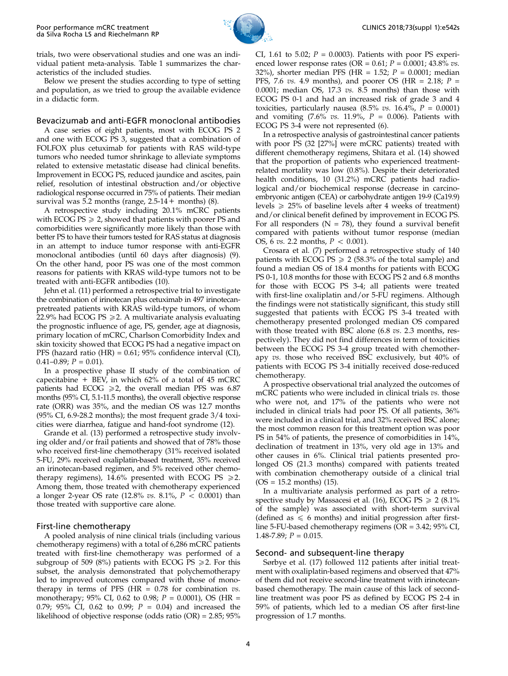

trials, two were observational studies and one was an individual patient meta-analysis. Table 1 summarizes the characteristics of the included studies.

Below we present the studies according to type of setting and population, as we tried to group the available evidence in a didactic form.

## Bevacizumab and anti-EGFR monoclonal antibodies

A case series of eight patients, most with ECOG PS 2 and one with ECOG PS 3, suggested that a combination of FOLFOX plus cetuximab for patients with RAS wild-type tumors who needed tumor shrinkage to alleviate symptoms related to extensive metastatic disease had clinical benefits. Improvement in ECOG PS, reduced jaundice and ascites, pain relief, resolution of intestinal obstruction and/or objective radiological response occurred in 75% of patients. Their median survival was 5.2 months (range,  $2.5\n-14 +$  months) (8).

A retrospective study including 20.1% mCRC patients with ECOG  $PS \ge 2$ , showed that patients with poorer PS and comorbidities were significantly more likely than those with better PS to have their tumors tested for RAS status at diagnosis in an attempt to induce tumor response with anti-EGFR monoclonal antibodies (until 60 days after diagnosis) (9). On the other hand, poor PS was one of the most common reasons for patients with KRAS wild-type tumors not to be treated with anti-EGFR antibodies (10).

Jehn et al. (11) performed a retrospective trial to investigate the combination of irinotecan plus cetuximab in 497 irinotecanpretreated patients with KRAS wild-type tumors, of whom 22.9% had ECOG PS  $\geq$  2. A multivariate analysis evaluating the prognostic influence of age, PS, gender, age at diagnosis, primary location of mCRC, Charlson Comorbidity Index and skin toxicity showed that ECOG PS had a negative impact on PFS (hazard ratio (HR) = 0.61; 95% confidence interval (CI),  $0.41-0.89; P = 0.01$ ).

In a prospective phase II study of the combination of capecitabine  $+$  BEV, in which 62% of a total of 45 mCRC patients had ECOG  $\geq 2$ , the overall median PFS was 6.87 months (95% CI, 5.1-11.5 months), the overall objective response rate (ORR) was 35%, and the median OS was 12.7 months (95% CI, 6.9-28.2 months); the most frequent grade 3/4 toxicities were diarrhea, fatigue and hand-foot syndrome (12).

Grande et al. (13) performed a retrospective study involving older and/or frail patients and showed that of 78% those who received first-line chemotherapy (31% received isolated 5-FU, 29% received oxaliplatin-based treatment, 35% received an irinotecan-based regimen, and 5% received other chemotherapy regimens), 14.6% presented with ECOG PS  $\ge 2$ . Among them, those treated with chemotherapy experienced a longer 2-year OS rate (12.8% vs. 8.1%,  $P < 0.0001$ ) than those treated with supportive care alone.

## First-line chemotherapy

A pooled analysis of nine clinical trials (including various chemotherapy regimens) with a total of 6,286 mCRC patients treated with first-line chemotherapy was performed of a subgroup of 509 (8%) patients with ECOG PS  $\geq$  2. For this subset, the analysis demonstrated that polychemotherapy led to improved outcomes compared with those of monotherapy in terms of PFS (HR =  $0.78$  for combination  $vs.$ monotherapy; 95% CI, 0.62 to 0.98; P = 0.0001), OS (HR = 0.79; 95% CI, 0.62 to 0.99;  $P = 0.04$ ) and increased the likelihood of objective response (odds ratio (OR) = 2.85; 95% CI, 1.61 to 5.02;  $P = 0.0003$ ). Patients with poor PS experienced lower response rates (OR =  $0.61; P = 0.0001; 43.8\%$  vs. 32%), shorter median PFS (HR = 1.52;  $P = 0.0001$ ; median PFS, 7.6 vs. 4.9 months), and poorer OS (HR = 2.18;  $P =$ 0.0001; median OS, 17.3  $vs.$  8.5 months) than those with ECOG PS 0-1 and had an increased risk of grade 3 and 4 toxicities, particularly nausea  $(8.5\% \text{ vs. } 16.4\%, P = 0.0001)$ and vomiting  $(7.6\%$  vs.  $11.9\%$ ,  $P = 0.006$ ). Patients with ECOG PS 3-4 were not represented (6).

In a retrospective analysis of gastrointestinal cancer patients with poor PS (32 [27%] were mCRC patients) treated with different chemotherapy regimens, Shitara et al. (14) showed that the proportion of patients who experienced treatmentrelated mortality was low (0.8%). Despite their deteriorated health conditions, 10 (31.2%) mCRC patients had radiological and/or biochemical response (decrease in carcinoembryonic antigen (CEA) or carbohydrate antigen 19-9 (Ca19.9) levels  $\geq$  25% of baseline levels after 4 weeks of treatment) and/or clinical benefit defined by improvement in ECOG PS. For all responders ( $N = 78$ ), they found a survival benefit compared with patients without tumor response (median OS, 6 vs. 2.2 months,  $P < 0.001$ ).

Crosara et al. (7) performed a retrospective study of 140 patients with ECOG PS  $\ge$  2 (58.3% of the total sample) and found a median OS of 18.4 months for patients with ECOG PS 0-1, 10.8 months for those with ECOG PS 2 and 6.8 months for those with ECOG PS 3-4; all patients were treated with first-line oxaliplatin and/or 5-FU regimens. Although the findings were not statistically significant, this study still suggested that patients with ECOG PS 3-4 treated with chemotherapy presented prolonged median OS compared with those treated with BSC alone (6.8 vs. 2.3 months, respectively). They did not find differences in term of toxicities between the ECOG PS 3-4 group treated with chemotherapy vs. those who received BSC exclusively, but 40% of patients with ECOG PS 3-4 initially received dose-reduced chemotherapy.

A prospective observational trial analyzed the outcomes of mCRC patients who were included in clinical trials *vs*. those who were not, and 17% of the patients who were not included in clinical trials had poor PS. Of all patients, 36% were included in a clinical trial, and 32% received BSC alone; the most common reason for this treatment option was poor PS in 54% of patients, the presence of comorbidities in 14%, declination of treatment in 13%, very old age in 13% and other causes in 6%. Clinical trial patients presented prolonged OS (21.3 months) compared with patients treated with combination chemotherapy outside of a clinical trial  $(OS = 15.2$  months)  $(15)$ .

In a multivariate analysis performed as part of a retrospective study by Massacesi et al. (16), ECOG PS  $\geq 2$  (8.1%) of the sample) was associated with short-term survival (defined as  $\leq 6$  months) and initial progression after firstline 5-FU-based chemotherapy regimens (OR = 3.42; 95% CI, 1.48-7.89;  $P = 0.015$ .

## Second- and subsequent-line therapy

Sørbye et al. (17) followed 112 patients after initial treatment with oxaliplatin-based regimens and observed that 47% of them did not receive second-line treatment with irinotecanbased chemotherapy. The main cause of this lack of secondline treatment was poor PS as defined by ECOG PS 2-4 in 59% of patients, which led to a median OS after first-line progression of 1.7 months.

4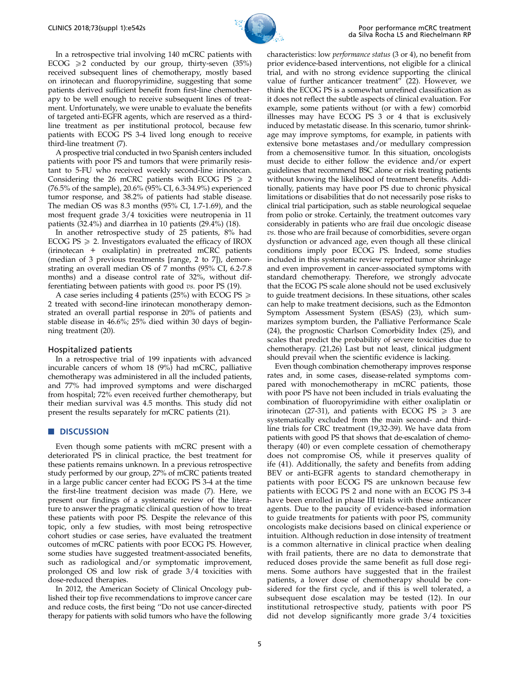

In a retrospective trial involving 140 mCRC patients with ECOG  $\geq 2$  conducted by our group, thirty-seven (35%) received subsequent lines of chemotherapy, mostly based on irinotecan and fluoropyrimidine, suggesting that some patients derived sufficient benefit from first-line chemotherapy to be well enough to receive subsequent lines of treatment. Unfortunately, we were unable to evaluate the benefits of targeted anti-EGFR agents, which are reserved as a thirdline treatment as per institutional protocol, because few patients with ECOG PS 3-4 lived long enough to receive third-line treatment (7).

A prospective trial conducted in two Spanish centers included patients with poor PS and tumors that were primarily resistant to 5-FU who received weekly second-line irinotecan. Considering the 26 mCRC patients with ECOG PS  $\geq 2$ (76.5% of the sample), 20.6% (95% CI, 6.3-34.9%) experienced tumor response, and 38.2% of patients had stable disease. The median OS was 8.3 months (95% CI, 1.7-1.69), and the most frequent grade 3/4 toxicities were neutropenia in 11 patients (32.4%) and diarrhea in 10 patients (29.4%) (18).

In another retrospective study of 25 patients, 8% had ECOG PS  $\geq$  2. Investigators evaluated the efficacy of IROX (irinotecan + oxaliplatin) in pretreated mCRC patients (median of 3 previous treatments [range, 2 to 7]), demonstrating an overall median OS of 7 months (95% CI, 6.2-7.8 months) and a disease control rate of 32%, without differentiating between patients with good vs. poor PS (19).

A case series including 4 patients (25%) with ECOG PS  $\geq$ 2 treated with second-line irinotecan monotherapy demonstrated an overall partial response in 20% of patients and stable disease in 46.6%; 25% died within 30 days of beginning treatment (20).

#### Hospitalized patients

In a retrospective trial of 199 inpatients with advanced incurable cancers of whom 18 (9%) had mCRC, palliative chemotherapy was administered in all the included patients, and 77% had improved symptoms and were discharged from hospital; 72% even received further chemotherapy, but their median survival was 4.5 months. This study did not present the results separately for mCRC patients (21).

#### **DISCUSSION**

Even though some patients with mCRC present with a deteriorated PS in clinical practice, the best treatment for these patients remains unknown. In a previous retrospective study performed by our group, 27% of mCRC patients treated in a large public cancer center had ECOG PS 3-4 at the time the first-line treatment decision was made (7). Here, we present our findings of a systematic review of the literature to answer the pragmatic clinical question of how to treat these patients with poor PS. Despite the relevance of this topic, only a few studies, with most being retrospective cohort studies or case series, have evaluated the treatment outcomes of mCRC patients with poor ECOG PS. However, some studies have suggested treatment-associated benefits, such as radiological and/or symptomatic improvement, prolonged OS and low risk of grade 3/4 toxicities with dose-reduced therapies.

In 2012, the American Society of Clinical Oncology published their top five recommendations to improve cancer care and reduce costs, the first being ''Do not use cancer-directed therapy for patients with solid tumors who have the following characteristics: low performance status (3 or 4), no benefit from prior evidence-based interventions, not eligible for a clinical trial, and with no strong evidence supporting the clinical value of further anticancer treatment<sup> $\bar{r}$ </sup> (22). However, we think the ECOG PS is a somewhat unrefined classification as it does not reflect the subtle aspects of clinical evaluation. For example, some patients without (or with a few) comorbid illnesses may have ECOG PS 3 or 4 that is exclusively induced by metastatic disease. In this scenario, tumor shrinkage may improve symptoms, for example, in patients with extensive bone metastases and/or medullary compression from a chemosensitive tumor. In this situation, oncologists must decide to either follow the evidence and/or expert guidelines that recommend BSC alone or risk treating patients without knowing the likelihood of treatment benefits. Additionally, patients may have poor PS due to chronic physical limitations or disabilities that do not necessarily pose risks to clinical trial participation, such as stable neurological sequelae from polio or stroke. Certainly, the treatment outcomes vary considerably in patients who are frail due oncologic disease vs. those who are frail because of comorbidities, severe organ dysfunction or advanced age, even though all these clinical conditions imply poor ECOG PS. Indeed, some studies included in this systematic review reported tumor shrinkage and even improvement in cancer-associated symptoms with standard chemotherapy. Therefore, we strongly advocate that the ECOG PS scale alone should not be used exclusively to guide treatment decisions. In these situations, other scales can help to make treatment decisions, such as the Edmonton Symptom Assessment System (ESAS) (23), which summarizes symptom burden, the Palliative Performance Scale (24), the prognostic Charlson Comorbidity Index (25), and scales that predict the probability of severe toxicities due to chemotherapy. (21,26) Last but not least, clinical judgment should prevail when the scientific evidence is lacking.

Even though combination chemotherapy improves response rates and, in some cases, disease-related symptoms compared with monochemotherapy in mCRC patients, those with poor PS have not been included in trials evaluating the combination of fluoropyrimidine with either oxaliplatin or irinotecan (27-31), and patients with ECOG PS  $\geq 3$  are systematically excluded from the main second- and thirdline trials for CRC treatment (19,32-39). We have data from patients with good PS that shows that de-escalation of chemotherapy (40) or even complete cessation of chemotherapy does not compromise OS, while it preserves quality of ife (41). Additionally, the safety and benefits from adding BEV or anti-EGFR agents to standard chemotherapy in patients with poor ECOG PS are unknown because few patients with ECOG PS 2 and none with an ECOG PS 3-4 have been enrolled in phase III trials with these anticancer agents. Due to the paucity of evidence-based information to guide treatments for patients with poor PS, community oncologists make decisions based on clinical experience or intuition. Although reduction in dose intensity of treatment is a common alternative in clinical practice when dealing with frail patients, there are no data to demonstrate that reduced doses provide the same benefit as full dose regimens. Some authors have suggested that in the frailest patients, a lower dose of chemotherapy should be considered for the first cycle, and if this is well tolerated, a subsequent dose escalation may be tested (12). In our institutional retrospective study, patients with poor PS did not develop significantly more grade 3/4 toxicities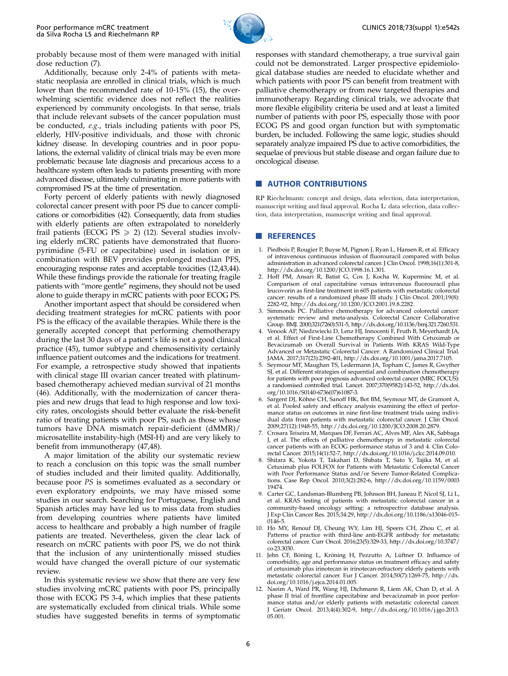

probably because most of them were managed with initial dose reduction (7).

Additionally, because only 2-4% of patients with metastatic neoplasia are enrolled in clinical trials, which is much lower than the recommended rate of 10-15% (15), the overwhelming scientific evidence does not reflect the realities experienced by community oncologists. In that sense, trials that include relevant subsets of the cancer population must be conducted, e.g., trials including patients with poor PS, elderly, HIV-positive individuals, and those with chronic kidney disease. In developing countries and in poor populations, the external validity of clinical trials may be even more problematic because late diagnosis and precarious access to a healthcare system often leads to patients presenting with more advanced disease, ultimately culminating in more patients with compromised PS at the time of presentation.

Forty percent of elderly patients with newly diagnosed colorectal cancer present with poor PS due to cancer complications or comorbidities (42). Consequently, data from studies with elderly patients are often extrapolated to nonelderly frail patients (ECOG PS  $\ge$  2) (12). Several studies involving elderly mCRC patients have demonstrated that fluoropyrimidine (5-FU or capecitabine) used in isolation or in combination with BEV provides prolonged median PFS, encouraging response rates and acceptable toxicities (12,43,44). While these findings provide the rationale for treating fragile patients with ''more gentle'' regimens, they should not be used alone to guide therapy in mCRC patients with poor ECOG PS.

Another important aspect that should be considered when deciding treatment strategies for mCRC patients with poor PS is the efficacy of the available therapies. While there is the generally accepted concept that performing chemotherapy during the last 30 days of a patient's life is not a good clinical practice (45), tumor subtype and chemosensitivity certainly influence patient outcomes and the indications for treatment. For example, a retrospective study showed that inpatients with clinical stage III ovarian cancer treated with platinumbased chemotherapy achieved median survival of 21 months (46). Additionally, with the modernization of cancer therapies and new drugs that lead to high response and low toxicity rates, oncologists should better evaluate the risk-benefit ratio of treating patients with poor PS, such as those whose tumors have DNA mismatch repair-deficient (dMMR)/ microsatellite instability-high (MSI-H) and are very likely to benefit from immunotherapy (47,48).

A major limitation of the ability our systematic review to reach a conclusion on this topic was the small number of studies included and their limited quality. Additionally, because poor PS is sometimes evaluated as a secondary or even exploratory endpoints, we may have missed some studies in our search. Searching for Portuguese, English and Spanish articles may have led us to miss data from studies from developing countries where patients have limited access to healthcare and probably a high number of fragile patients are treated. Nevertheless, given the clear lack of research on mCRC patients with poor PS, we do not think that the inclusion of any unintentionally missed studies would have changed the overall picture of our systematic review.

In this systematic review we show that there are very few studies involving mCRC patients with poor PS, principally those with ECOG PS 3-4, which implies that these patients are systematically excluded from clinical trials. While some studies have suggested benefits in terms of symptomatic responses with standard chemotherapy, a true survival gain could not be demonstrated. Larger prospective epidemiological database studies are needed to elucidate whether and which patients with poor PS can benefit from treatment with palliative chemotherapy or from new targeted therapies and immunotherapy. Regarding clinical trials, we advocate that more flexible eligibility criteria be used and at least a limited number of patients with poor PS, especially those with poor ECOG PS and good organ function but with symptomatic burden, be included. Following the same logic, studies should separately analyze impaired PS due to active comorbidities, the sequelae of previous but stable disease and organ failure due to oncological disease.

### **NUTHOR CONTRIBUTIONS**

RP Riechelmann: concept and design, data selection, data interpretation, manuscript writing and final approval. Rocha L: data selection, data collection, data interpretation, manuscript writing and final approval.

#### **REFERENCES**

- 1. Piedbois P, Rougier P, Buyse M, Pignon J, Ryan L, Hansen R, et al. Efficacy of intravenous continuous infusion of fluorouracil compared with bolus administration in advanced colorectal cancer. J Clin Oncol. 1998;16(1):301-8, [http://dx.doi.org/10.1200/JCO.1998.16.1.301.](http://dx.doi.org/10.1200/JCO.1998.16.1.301)
- 2. Hoff PM, Ansari R, Batist G, Cox J, Kocha W, Kuperminc M, et al. Comparison of oral capecitabine versus intravenous fluorouracil plus leucovorin as first-line treatment in 605 patients with metastatic colorectal cancer: results of a randomized phase III study. J Clin Oncol. 2001;19(8): 2282-92,<http://dx.doi.org/10.1200/JCO.2001.19.8.2282>.
- 3. Simmonds PC. Palliative chemotherapy for advanced colorectal cancer: systematic review and meta-analysis. Colorectal Cancer Collaborative Group. BMJ. 2000;321(7260):531-5,<http://dx.doi.org/10.1136/bmj.321.7260.531>.
- 4. Venook AP, Niedzwiecki D, Lenz HJ, Innocenti F, Fruth B, Meyerhardt JA, et al. Effect of First-Line Chemotherapy Combined With Cetuximab or Bevacizumab on Overall Survival in Patients With KRAS Wild-Type Advanced or Metastatic Colorectal Cancer: A Randomized Clinical Trial. JAMA. 2017;317(23):2392-401, [http://dx.doi.org/10.1001/jama.2017.7105.](http://dx.doi.org/10.1001/jama.2017.7105)
- 5. Seymour MT, Maughan TS, Ledermann JA, Topham C, James R, Gwyther SJ, et al. Different strategies of sequential and combination chemotherapy for patients with poor prognosis advanced colorectal cancer (MRC FOCUS): a randomised controlled trial. Lancet. 2007;370(9582):143-52, [http://dx.doi.](http://dx.doi.org/10.1016/S0140-6736(07)61087-3) [org/10.1016/S0140-6736\(07\)61087-3.](http://dx.doi.org/10.1016/S0140-6736(07)61087-3)
- 6. Sargent DJ, Köhne CH, Sanoff HK, Bot BM, Seymour MT, de Gramont A, et al. Pooled safety and efficacy analysis examining the effect of performance status on outcomes in nine first-line treatment trials using individual data from patients with metastatic colorectal cancer. J Clin Oncol. 2009;27(12):1948-55,<http://dx.doi.org/10.1200/JCO.2008.20.2879>.
- 7. Crosara Teixeira M, Marques DF, Ferrari AC, Alves MF, Alex AK, Sabbaga J, et al. The effects of palliative chemotherapy in metastatic colorectal cancer patients with an ECOG performance status of 3 and 4. Clin Colo-rectal Cancer. 2015;14(1):52-7,<http://dx.doi.org/10.1016/j.clcc.2014.09.010>.
- 8. Shitara K, Yokota T, Takahari D, Shibata T, Sato Y, Tajika M, et al. Cetuximab plus FOLFOX for Patients with Metastatic Colorectal Cancer with Poor Performance Status and/or Severe Tumor-Related Complications. Case Rep Oncol. 2010;3(2):282-6, [http://dx.doi.org/10.1159/0003](http://dx.doi.org/10.1159/000319474) [19474](http://dx.doi.org/10.1159/000319474).
- 9. Carter GC, Landsman-Blumberg PB, Johnson BH, Juneau P, Nicol SJ, Li L, et al. KRAS testing of patients with metastatic colorectal cancer in a community-based oncology setting: a retrospective database analysis. J Exp Clin Cancer Res. 2015;34:29, [http://dx.doi.org/10.1186/s13046-015-](http://dx.doi.org/10.1186/s13046-015-0146-5) [0146-5](http://dx.doi.org/10.1186/s13046-015-0146-5).
- 10. Ho MY, Renouf DJ, Cheung WY, Lim HJ, Speers CH, Zhou C, et al. Patterns of practice with third-line anti-EGFR antibody for metastatic colorectal cancer. Curr Oncol. 2016;23(5):329-33, [http://dx.doi.org/10.3747/](http://dx.doi.org/10.3747/co.23.3030) [co.23.3030.](http://dx.doi.org/10.3747/co.23.3030)
- 11. Jehn CF, Böning L, Kröning H, Pezzutto A, Lüftner D. Influence of comorbidity, age and performance status on treatment efficacy and safety of cetuximab plus irinotecan in irinotecan-refractory elderly patients with metastatic colorectal cancer. Eur J Cancer. 2014;50(7):1269-75, [http://dx.](http://dx.doi.org/10.1016/j.ejca.2014.01.005)
- [doi.org/10.1016/j.ejca.2014.01.005.](http://dx.doi.org/10.1016/j.ejca.2014.01.005) 12. Naeim A, Ward PR, Wang HJ, Dichmann R, Liem AK, Chan D, et al. A phase II trial of frontline capecitabine and bevacizumab in poor performance status and/or elderly patients with metastatic colorectal cancer. J Geriatr Oncol. 2013;4(4):302-9, [http://dx.doi.org/10.1016/j.jgo.2013.](http://dx.doi.org/10.1016/j.jgo.2013.05.001) [05.001.](http://dx.doi.org/10.1016/j.jgo.2013.05.001)